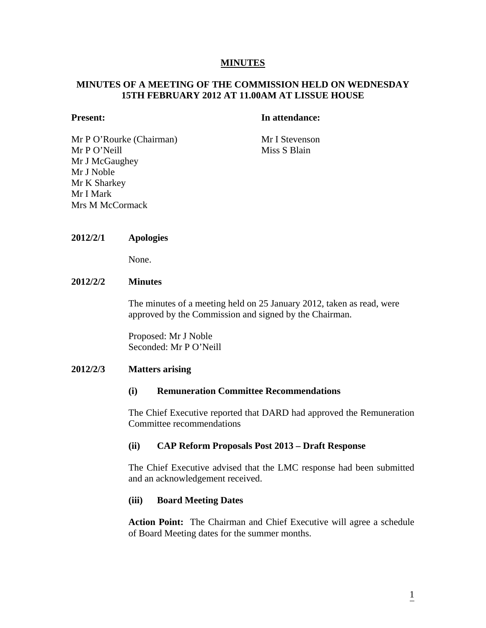## **MINUTES**

# **MINUTES OF A MEETING OF THE COMMISSION HELD ON WEDNESDAY 15TH FEBRUARY 2012 AT 11.00AM AT LISSUE HOUSE**

#### **Present:** In attendance:

Mr P O'Rourke (Chairman) Mr I Stevenson Mr P O'Neill Miss S Blain Mr J McGaughey Mr J Noble Mr K Sharkey Mr I Mark Mrs M McCormack

#### **2012/2/1 Apologies**

None.

## **2012/2/2 Minutes**

The minutes of a meeting held on 25 January 2012, taken as read, were approved by the Commission and signed by the Chairman.

Proposed: Mr J Noble Seconded: Mr P O'Neill

#### **2012/2/3 Matters arising**

# **(i) Remuneration Committee Recommendations**

The Chief Executive reported that DARD had approved the Remuneration Committee recommendations

#### **(ii) CAP Reform Proposals Post 2013 – Draft Response**

The Chief Executive advised that the LMC response had been submitted and an acknowledgement received.

#### **(iii) Board Meeting Dates**

**Action Point:** The Chairman and Chief Executive will agree a schedule of Board Meeting dates for the summer months.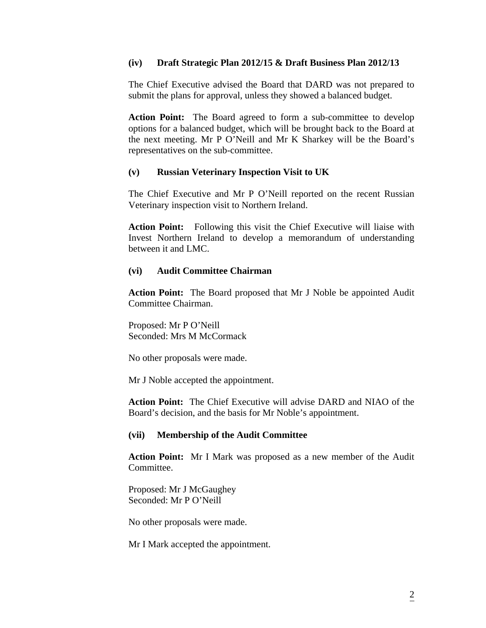#### **(iv) Draft Strategic Plan 2012/15 & Draft Business Plan 2012/13**

The Chief Executive advised the Board that DARD was not prepared to submit the plans for approval, unless they showed a balanced budget.

**Action Point:** The Board agreed to form a sub-committee to develop options for a balanced budget, which will be brought back to the Board at the next meeting. Mr P O'Neill and Mr K Sharkey will be the Board's representatives on the sub-committee.

#### **(v) Russian Veterinary Inspection Visit to UK**

The Chief Executive and Mr P O'Neill reported on the recent Russian Veterinary inspection visit to Northern Ireland.

**Action Point:** Following this visit the Chief Executive will liaise with Invest Northern Ireland to develop a memorandum of understanding between it and LMC.

#### **(vi) Audit Committee Chairman**

**Action Point:** The Board proposed that Mr J Noble be appointed Audit Committee Chairman.

Proposed: Mr P O'Neill Seconded: Mrs M McCormack

No other proposals were made.

Mr J Noble accepted the appointment.

**Action Point:** The Chief Executive will advise DARD and NIAO of the Board's decision, and the basis for Mr Noble's appointment.

#### **(vii) Membership of the Audit Committee**

**Action Point:** Mr I Mark was proposed as a new member of the Audit Committee.

Proposed: Mr J McGaughey Seconded: Mr P O'Neill

No other proposals were made.

Mr I Mark accepted the appointment.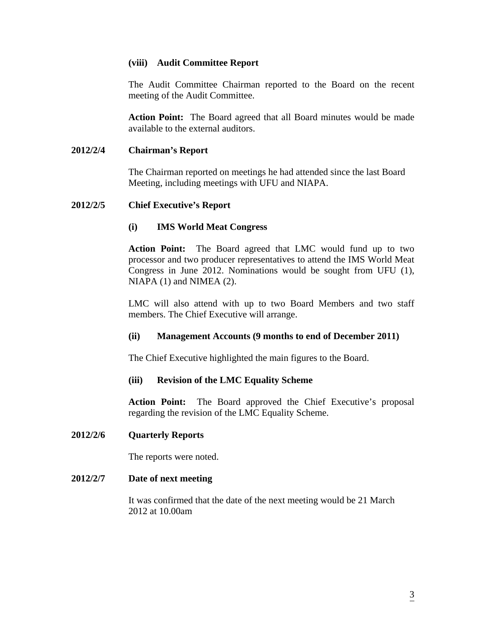# **(viii) Audit Committee Report**

The Audit Committee Chairman reported to the Board on the recent meeting of the Audit Committee.

**Action Point:** The Board agreed that all Board minutes would be made available to the external auditors.

# **2012/2/4 Chairman's Report**

The Chairman reported on meetings he had attended since the last Board Meeting, including meetings with UFU and NIAPA.

#### **2012/2/5 Chief Executive's Report**

# **(i) IMS World Meat Congress**

**Action Point:** The Board agreed that LMC would fund up to two processor and two producer representatives to attend the IMS World Meat Congress in June 2012. Nominations would be sought from UFU (1), NIAPA (1) and NIMEA (2).

LMC will also attend with up to two Board Members and two staff members. The Chief Executive will arrange.

# **(ii) Management Accounts (9 months to end of December 2011)**

The Chief Executive highlighted the main figures to the Board.

#### **(iii) Revision of the LMC Equality Scheme**

**Action Point:** The Board approved the Chief Executive's proposal regarding the revision of the LMC Equality Scheme.

#### **2012/2/6 Quarterly Reports**

The reports were noted.

#### **2012/2/7 Date of next meeting**

It was confirmed that the date of the next meeting would be 21 March 2012 at 10.00am